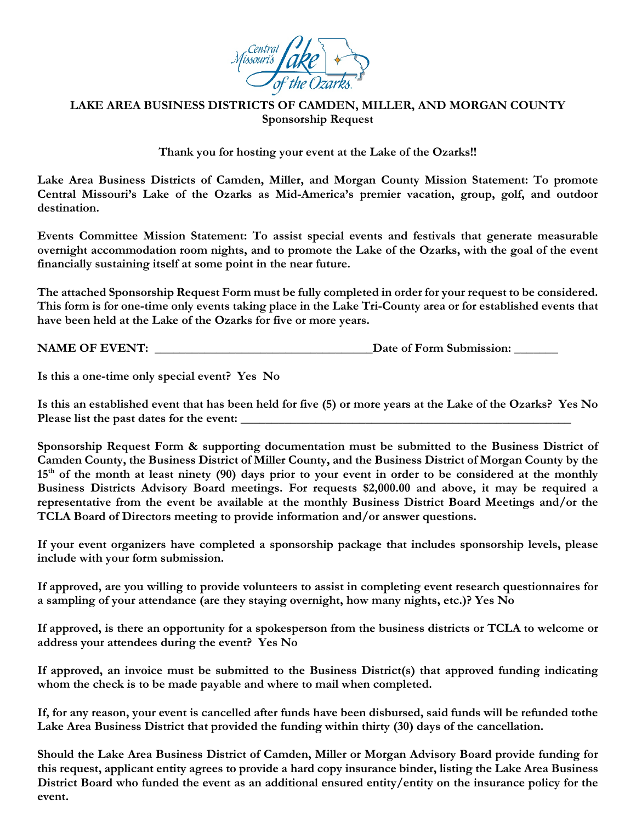

## **LAKE AREA BUSINESS DISTRICTS OF CAMDEN, MILLER, AND MORGAN COUNTY Sponsorship Request**

**Thank you for hosting your event at the Lake of the Ozarks!!**

**Lake Area Business Districts of Camden, Miller, and Morgan County Mission Statement: To promote Central Missouri's Lake of the Ozarks as Mid-America's premier vacation, group, golf, and outdoor destination.** 

**Events Committee Mission Statement: To assist special events and festivals that generate measurable overnight accommodation room nights, and to promote the Lake of the Ozarks, with the goal of the event financially sustaining itself at some point in the near future.**

**The attached Sponsorship Request Form must be fully completed in order for your request to be considered. This form is for one-time only events taking place in the Lake Tri-County area or for established events that have been held at the Lake of the Ozarks for five or more years.** 

**NAME OF EVENT: \_\_\_\_\_\_\_\_\_\_\_\_\_\_\_\_\_\_\_\_\_\_\_\_\_\_\_\_\_\_\_\_\_\_\_Date of Form Submission: \_\_\_\_\_\_\_**

**Is this a one-time only special event? Yes No**

**Is this an established event that has been held for five (5) or more years at the Lake of the Ozarks? Yes No** Please list the past dates for the event:

**Sponsorship Request Form & supporting documentation must be submitted to the Business District of Camden County, the Business District of Miller County, and the Business District of Morgan County by the 15th of the month at least ninety (90) days prior to your event in order to be considered at the monthly Business Districts Advisory Board meetings. For requests \$2,000.00 and above, it may be required a representative from the event be available at the monthly Business District Board Meetings and/or the TCLA Board of Directors meeting to provide information and/or answer questions.**

**If your event organizers have completed a sponsorship package that includes sponsorship levels, please include with your form submission.** 

**If approved, are you willing to provide volunteers to assist in completing event research questionnaires for a sampling of your attendance (are they staying overnight, how many nights, etc.)? Yes No** 

**If approved, is there an opportunity for a spokesperson from the business districts or TCLA to welcome or address your attendees during the event? Yes No** 

**If approved, an invoice must be submitted to the Business District(s) that approved funding indicating whom the check is to be made payable and where to mail when completed.**

**If, for any reason, your event is cancelled after funds have been disbursed, said funds will be refunded tothe Lake Area Business District that provided the funding within thirty (30) days of the cancellation.**

**Should the Lake Area Business District of Camden, Miller or Morgan Advisory Board provide funding for this request, applicant entity agrees to provide a hard copy insurance binder, listing the Lake Area Business District Board who funded the event as an additional ensured entity/entity on the insurance policy for the event.**